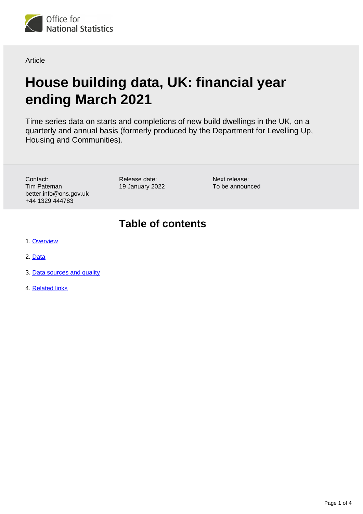

**Article** 

# **House building data, UK: financial year ending March 2021**

Time series data on starts and completions of new build dwellings in the UK, on a quarterly and annual basis (formerly produced by the Department for Levelling Up, Housing and Communities).

Contact: Tim Pateman better.info@ons.gov.uk +44 1329 444783

Release date: 19 January 2022 Next release: To be announced

## **Table of contents**

- 1. [Overview](#page-1-0)
- 2. [Data](#page-1-1)
- 3. [Data sources and quality](#page-1-2)
- 4. [Related links](#page-3-0)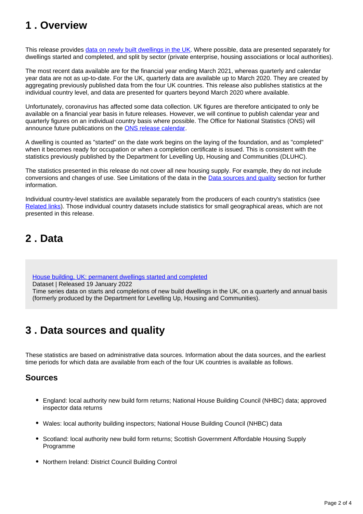## <span id="page-1-0"></span>**1 . Overview**

This release provides [data on newly built dwellings in the UK](https://www.ons.gov.uk/peoplepopulationandcommunity/housing/articles/ukhousebuildingdata/financialyearendingmarch2021/relateddata). Where possible, data are presented separately for dwellings started and completed, and split by sector (private enterprise, housing associations or local authorities).

The most recent data available are for the financial year ending March 2021, whereas quarterly and calendar year data are not as up-to-date. For the UK, quarterly data are available up to March 2020. They are created by aggregating previously published data from the four UK countries. This release also publishes statistics at the individual country level, and data are presented for quarters beyond March 2020 where available.

Unfortunately, coronavirus has affected some data collection. UK figures are therefore anticipated to only be available on a financial year basis in future releases. However, we will continue to publish calendar year and quarterly figures on an individual country basis where possible. The Office for National Statistics (ONS) will announce future publications on the [ONS release calendar.](https://www.ons.gov.uk/releasecalendar)

A dwelling is counted as "started" on the date work begins on the laying of the foundation, and as "completed" when it becomes ready for occupation or when a completion certificate is issued. This is consistent with the statistics previously published by the Department for Levelling Up, Housing and Communities (DLUHC).

The statistics presented in this release do not cover all new housing supply. For example, they do not include conversions and changes of use. See Limitations of the data in the [Data sources and quality](https://www.ons.gov.uk/peoplepopulationandcommunity/housing/articles/ukhousebuildingdata/financialyearendingmarch2021#data-sources-and-quality) section for further information.

Individual country-level statistics are available separately from the producers of each country's statistics (see [Related links\)](https://www.ons.gov.uk/peoplepopulationandcommunity/housing/articles/ukhousebuildingdata/financialyearendingmarch2021#related-links). Those individual country datasets include statistics for small geographical areas, which are not presented in this release.

## <span id="page-1-1"></span>**2 . Data**

[House building, UK: permanent dwellings started and completed](https://www.ons.gov.uk/peoplepopulationandcommunity/housing/datasets/ukhousebuildingpermanentdwellingsstartedandcompleted)

Dataset | Released 19 January 2022

Time series data on starts and completions of new build dwellings in the UK, on a quarterly and annual basis (formerly produced by the Department for Levelling Up, Housing and Communities).

## <span id="page-1-2"></span>**3 . Data sources and quality**

These statistics are based on administrative data sources. Information about the data sources, and the earliest time periods for which data are available from each of the four UK countries is available as follows.

### **Sources**

- England: local authority new build form returns; National House Building Council (NHBC) data; approved inspector data returns
- Wales: local authority building inspectors; National House Building Council (NHBC) data
- Scotland: local authority new build form returns; Scottish Government Affordable Housing Supply Programme
- Northern Ireland: District Council Building Control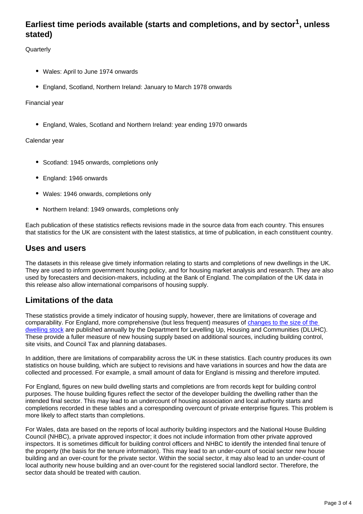## **Earliest time periods available (starts and completions, and by sector<sup>1</sup>, unless stated)**

**Quarterly** 

- Wales: April to June 1974 onwards
- England, Scotland, Northern Ireland: January to March 1978 onwards

Financial year

England, Wales, Scotland and Northern Ireland: year ending 1970 onwards

### Calendar year

- Scotland: 1945 onwards, completions only
- England: 1946 onwards
- Wales: 1946 onwards, completions only
- Northern Ireland: 1949 onwards, completions only

Each publication of these statistics reflects revisions made in the source data from each country. This ensures that statistics for the UK are consistent with the latest statistics, at time of publication, in each constituent country.

### **Uses and users**

The datasets in this release give timely information relating to starts and completions of new dwellings in the UK. They are used to inform government housing policy, and for housing market analysis and research. They are also used by forecasters and decision-makers, including at the Bank of England. The compilation of the UK data in this release also allow international comparisons of housing supply.

### **Limitations of the data**

These statistics provide a timely indicator of housing supply, however, there are limitations of coverage and comparability. For England, more comprehensive (but less frequent) measures of changes to the size of the [dwelling stock](https://www.gov.uk/government/collections/net-supply-of-housing) are published annually by the Department for Levelling Up, Housing and Communities (DLUHC). These provide a fuller measure of new housing supply based on additional sources, including building control, site visits, and Council Tax and planning databases.

In addition, there are limitations of comparability across the UK in these statistics. Each country produces its own statistics on house building, which are subject to revisions and have variations in sources and how the data are collected and processed. For example, a small amount of data for England is missing and therefore imputed.

For England, figures on new build dwelling starts and completions are from records kept for building control purposes. The house building figures reflect the sector of the developer building the dwelling rather than the intended final sector. This may lead to an undercount of housing association and local authority starts and completions recorded in these tables and a corresponding overcount of private enterprise figures. This problem is more likely to affect starts than completions.

For Wales, data are based on the reports of local authority building inspectors and the National House Building Council (NHBC), a private approved inspector; it does not include information from other private approved inspectors. It is sometimes difficult for building control officers and NHBC to identify the intended final tenure of the property (the basis for the tenure information). This may lead to an under-count of social sector new house building and an over-count for the private sector. Within the social sector, it may also lead to an under-count of local authority new house building and an over-count for the registered social landlord sector. Therefore, the sector data should be treated with caution.